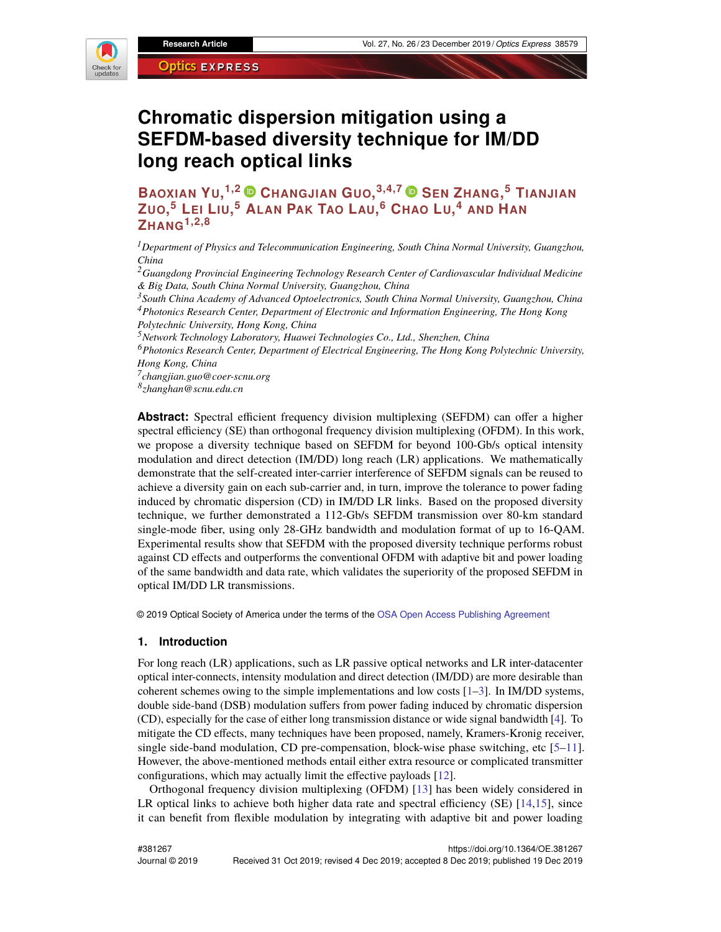

# **Chromatic dispersion mitigation using a SEFDM-based diversity technique for IM/DD long reach optical links**

**BAOXIAN YU, 1,2 CHANGJIAN GUO, 3,4,7 SEN ZHANG, <sup>5</sup> TIANJIAN** ZUO,<sup>5</sup> LEI LIU,<sup>5</sup> ALAN PAK TAO LAU,<sup>6</sup> CHAO LU,<sup>4</sup> AND HAN **ZHANG1,2,8**

*<sup>1</sup>Department of Physics and Telecommunication Engineering, South China Normal University, Guangzhou, China*

*<sup>2</sup>Guangdong Provincial Engineering Technology Research Center of Cardiovascular Individual Medicine & Big Data, South China Normal University, Guangzhou, China*

*<sup>3</sup>South China Academy of Advanced Optoelectronics, South China Normal University, Guangzhou, China <sup>4</sup>Photonics Research Center, Department of Electronic and Information Engineering, The Hong Kong Polytechnic University, Hong Kong, China*

*<sup>5</sup>Network Technology Laboratory, Huawei Technologies Co., Ltd., Shenzhen, China*

*<sup>6</sup>Photonics Research Center, Department of Electrical Engineering, The Hong Kong Polytechnic University, Hong Kong, China*

*7 changjian.guo@coer-scnu.org*

*8 zhanghan@scnu.edu.cn*

**Abstract:** Spectral efficient frequency division multiplexing (SEFDM) can offer a higher spectral efficiency (SE) than orthogonal frequency division multiplexing (OFDM). In this work, we propose a diversity technique based on SEFDM for beyond 100-Gb/s optical intensity modulation and direct detection (IM/DD) long reach (LR) applications. We mathematically demonstrate that the self-created inter-carrier interference of SEFDM signals can be reused to achieve a diversity gain on each sub-carrier and, in turn, improve the tolerance to power fading induced by chromatic dispersion (CD) in IM/DD LR links. Based on the proposed diversity technique, we further demonstrated a 112-Gb/s SEFDM transmission over 80-km standard single-mode fiber, using only 28-GHz bandwidth and modulation format of up to 16-QAM. Experimental results show that SEFDM with the proposed diversity technique performs robust against CD effects and outperforms the conventional OFDM with adaptive bit and power loading of the same bandwidth and data rate, which validates the superiority of the proposed SEFDM in optical IM/DD LR transmissions.

© 2019 Optical Society of America under the terms of the [OSA Open Access Publishing Agreement](https://doi.org/10.1364/OA_License_v1)

#### **1. Introduction**

For long reach (LR) applications, such as LR passive optical networks and LR inter-datacenter optical inter-connects, intensity modulation and direct detection (IM/DD) are more desirable than coherent schemes owing to the simple implementations and low costs  $[1-3]$  $[1-3]$ . In IM/DD systems, double side-band (DSB) modulation suffers from power fading induced by chromatic dispersion (CD), especially for the case of either long transmission distance or wide signal bandwidth [\[4\]](#page-12-1). To mitigate the CD effects, many techniques have been proposed, namely, Kramers-Kronig receiver, single side-band modulation, CD pre-compensation, block-wise phase switching, etc [\[5–](#page-12-2)[11\]](#page-12-3). However, the above-mentioned methods entail either extra resource or complicated transmitter configurations, which may actually limit the effective payloads [\[12\]](#page-12-4).

Orthogonal frequency division multiplexing (OFDM) [\[13\]](#page-12-5) has been widely considered in LR optical links to achieve both higher data rate and spectral efficiency (SE) [\[14,](#page-12-6)[15\]](#page-12-7), since it can benefit from flexible modulation by integrating with adaptive bit and power loading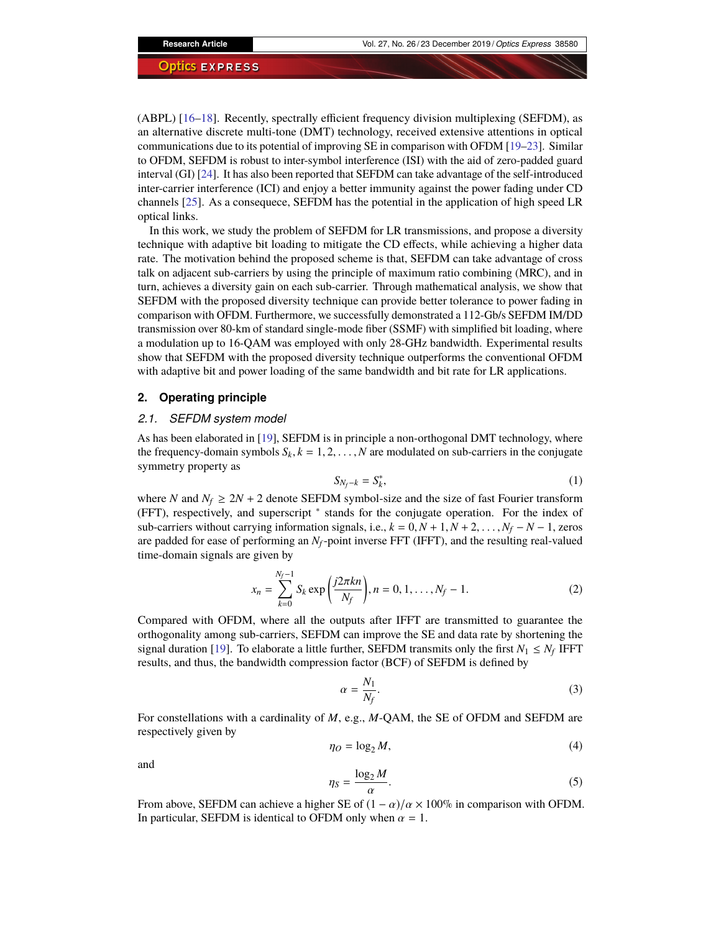(ABPL) [\[16–](#page-12-8)[18\]](#page-12-9). Recently, spectrally efficient frequency division multiplexing (SEFDM), as an alternative discrete multi-tone (DMT) technology, received extensive attentions in optical communications due to its potential of improving SE in comparison with OFDM [\[19–](#page-12-10)[23\]](#page-12-11). Similar to OFDM, SEFDM is robust to inter-symbol interference (ISI) with the aid of zero-padded guard interval (GI) [\[24\]](#page-12-12). It has also been reported that SEFDM can take advantage of the self-introduced inter-carrier interference (ICI) and enjoy a better immunity against the power fading under CD channels [\[25\]](#page-12-13). As a consequece, SEFDM has the potential in the application of high speed LR optical links.

In this work, we study the problem of SEFDM for LR transmissions, and propose a diversity technique with adaptive bit loading to mitigate the CD effects, while achieving a higher data rate. The motivation behind the proposed scheme is that, SEFDM can take advantage of cross talk on adjacent sub-carriers by using the principle of maximum ratio combining (MRC), and in turn, achieves a diversity gain on each sub-carrier. Through mathematical analysis, we show that SEFDM with the proposed diversity technique can provide better tolerance to power fading in comparison with OFDM. Furthermore, we successfully demonstrated a 112-Gb/s SEFDM IM/DD transmission over 80-km of standard single-mode fiber (SSMF) with simplified bit loading, where a modulation up to 16-QAM was employed with only 28-GHz bandwidth. Experimental results show that SEFDM with the proposed diversity technique outperforms the conventional OFDM with adaptive bit and power loading of the same bandwidth and bit rate for LR applications.

# **2. Operating principle**

#### *2.1. SEFDM system model*

As has been elaborated in [\[19\]](#page-12-10), SEFDM is in principle a non-orthogonal DMT technology, where the frequency-domain symbols  $S_k$ ,  $k = 1, 2, ..., N$  are modulated on sub-carriers in the conjugate symmetry property as

$$
S_{N_f-k} = S_k^*,\tag{1}
$$

where *N* and  $N_f \geq 2N + 2$  denote SEFDM symbol-size and the size of fast Fourier transform (FFT), respectively, and superscript <sup>∗</sup> stands for the conjugate operation. For the index of sub-carriers without carrying information signals, i.e.,  $k = 0, N + 1, N + 2, \ldots, N_f - N - 1$ , zeros are padded for ease of performing an *Nf*-point inverse FFT (IFFT), and the resulting real-valued time-domain signals are given by

$$
x_n = \sum_{k=0}^{N_f - 1} S_k \exp\left(\frac{j2\pi kn}{N_f}\right), n = 0, 1, \dots, N_f - 1.
$$
 (2)

Compared with OFDM, where all the outputs after IFFT are transmitted to guarantee the orthogonality among sub-carriers, SEFDM can improve the SE and data rate by shortening the signal duration [\[19\]](#page-12-10). To elaborate a little further, SEFDM transmits only the first  $N_1 \leq N_f$  IFFT results, and thus, the bandwidth compression factor (BCF) of SEFDM is defined by

$$
\alpha = \frac{N_1}{N_f}.\tag{3}
$$

For constellations with a cardinality of *M*, e.g., *M*-QAM, the SE of OFDM and SEFDM are respectively given by

$$
\eta_O = \log_2 M,\tag{4}
$$

and

$$
\eta_S = \frac{\log_2 M}{\alpha}.\tag{5}
$$

From above, SEFDM can achieve a higher SE of  $(1 - \alpha)/\alpha \times 100\%$  in comparison with OFDM.<br>In particular, SEFDM is identical to OFDM only when  $\alpha = 1$ . In particular, SEFDM is identical to OFDM only when  $\alpha = 1$ .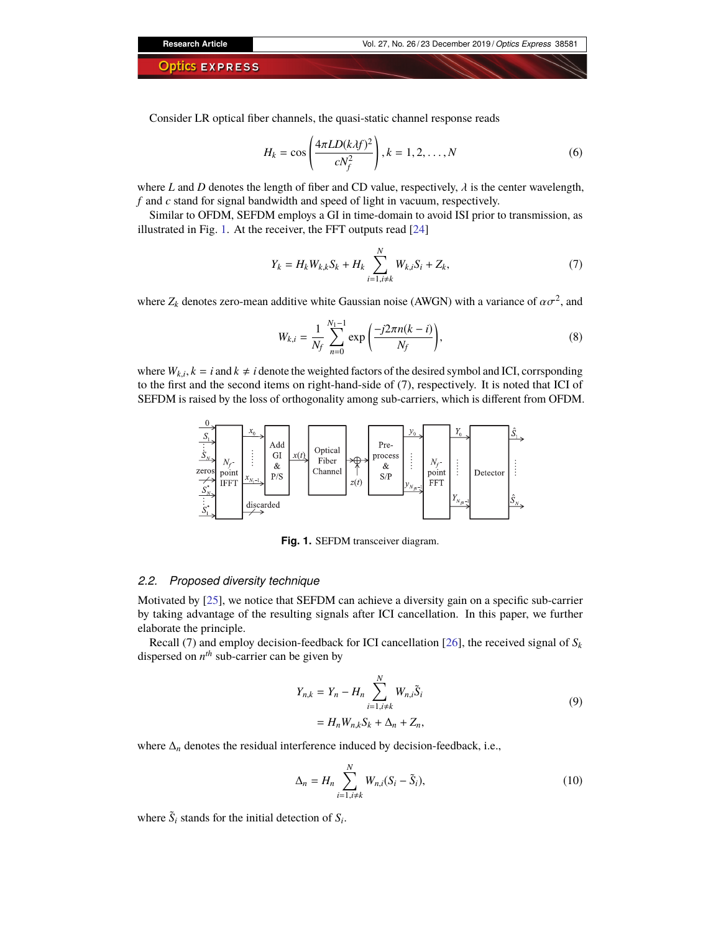Consider LR optical fiber channels, the quasi-static channel response reads

$$
H_k = \cos\left(\frac{4\pi LD(kAf)^2}{cN_f^2}\right), k = 1, 2, \dots, N
$$
 (6)

where *L* and *D* denotes the length of fiber and CD value, respectively,  $\lambda$  is the center wavelength, *f* and *c* stand for signal bandwidth and speed of light in vacuum, respectively.

Similar to OFDM, SEFDM employs a GI in time-domain to avoid ISI prior to transmission, as illustrated in Fig. [1.](#page-2-0) At the receiver, the FFT outputs read [\[24\]](#page-12-12)

$$
Y_k = H_k W_{k,k} S_k + H_k \sum_{i=1, i \neq k}^{N} W_{k,i} S_i + Z_k,
$$
 (7)

where  $Z_k$  denotes zero-mean additive white Gaussian noise (AWGN) with a variance of  $\alpha \sigma^2$ , and

$$
W_{k,i} = \frac{1}{N_f} \sum_{n=0}^{N_1 - 1} \exp\left(\frac{-j2\pi n(k - i)}{N_f}\right),\tag{8}
$$

where  $W_{k,i}$ ,  $k = i$  and  $k \neq i$  denote the weighted factors of the desired symbol and ICI, corrsponding to the first and the second items on right-hand-side of (7), respectively. It is noted that ICI of SEFDM is raised by the loss of orthogonality among sub-carriers, which is different from OFDM.



<span id="page-2-0"></span>Fig. 1. SEFDM transceiver diagram.

# *2.2. Proposed diversity technique*

Motivated by [\[25\]](#page-12-13), we notice that SEFDM can achieve a diversity gain on a specific sub-carrier by taking advantage of the resulting signals after ICI cancellation. In this paper, we further elaborate the principle.

Recall (7) and employ decision-feedback for ICI cancellation [\[26\]](#page-12-14), the received signal of  $S_k$ dispersed on  $n^{th}$  sub-carrier can be given by

$$
Y_{n,k} = Y_n - H_n \sum_{i=1, i \neq k}^{N} W_{n,i} \tilde{S}_i
$$
  
=  $H_n W_{n,k} S_k + \Delta_n + Z_n,$  (9)

where  $\Delta_n$  denotes the residual interference induced by decision-feedback, i.e.,

$$
\Delta_n = H_n \sum_{i=1, i \neq k}^N W_{n,i} (S_i - \tilde{S}_i), \qquad (10)
$$

where  $\tilde{S}_i$  stands for the initial detection of  $S_i$ .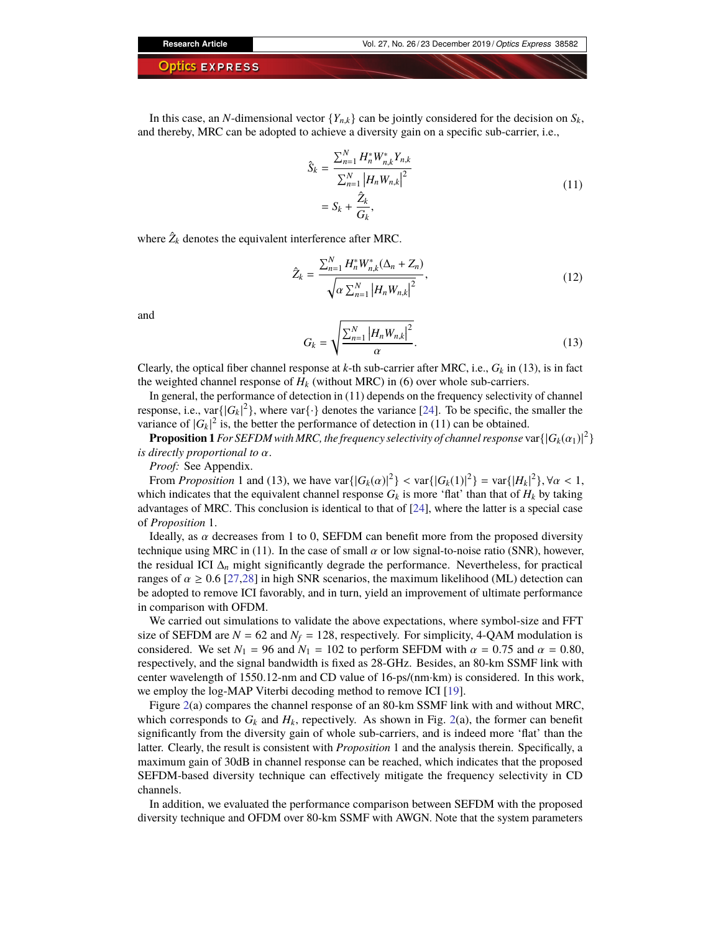In this case, an *N*-dimensional vector  ${Y_{n,k}}$  can be jointly considered for the decision on  $S_k$ , and thereby, MRC can be adopted to achieve a diversity gain on a specific sub-carrier, i.e.,

$$
\hat{S}_k = \frac{\sum_{n=1}^N H_n^* W_{n,k}^* Y_{n,k}}{\sum_{n=1}^N |H_n W_{n,k}|^2} \n= S_k + \frac{\hat{Z}_k}{G_k},
$$
\n(11)

where  $\hat{Z}_k$  denotes the equivalent interference after MRC.

$$
\hat{Z}_{k} = \frac{\sum_{n=1}^{N} H_{n}^{*} W_{n,k}^{*} (\Delta_{n} + Z_{n})}{\sqrt{\alpha \sum_{n=1}^{N} |H_{n} W_{n,k}|^{2}}},
$$
\n(12)

and

$$
G_k = \sqrt{\frac{\sum_{n=1}^{N} |H_n W_{n,k}|^2}{\alpha}}.
$$
\n(13)

Clearly, the optical fiber channel response at *k*-th sub-carrier after MRC, i.e.,  $G_k$  in (13), is in fact the weighted channel response of  $H_k$  (without MRC) in (6) over whole sub-carriers.

In general, the performance of detection in (11) depends on the frequency selectivity of channel response, i.e., var $\{|G_k|^2\}$ , where var $\{\cdot\}$  denotes the variance [\[24\]](#page-12-12). To be specific, the smaller the variance of  $|G_k|^2$  is, the better the performance of detection in (11) can be obtained.

**Proposition 1** For SEFDM with MRC, the frequency selectivity of channel response  $\text{var} \{ |G_k(\alpha_1)|^2 \}$ *is directly proportional to* α.

*Proof:* See Appendix.

From *Proposition* 1 and (13), we have var $\{|G_k(\alpha)|^2\} < \text{var}\{|G_k(1)|^2\} = \text{var}\{|H_k|^2\}$ ,  $\forall \alpha < 1$ ,<br>bich indicates that the equivalent channel response  $G_k$  is more 'flat' than that of H<sub>s</sub> by taking which indicates that the equivalent channel response  $G_k$  is more 'flat' than that of  $H_k$  by taking advantages of MRC. This conclusion is identical to that of [\[24\]](#page-12-12), where the latter is a special case of *Proposition* 1.

Ideally, as  $\alpha$  decreases from 1 to 0, SEFDM can benefit more from the proposed diversity technique using MRC in (11). In the case of small  $\alpha$  or low signal-to-noise ratio (SNR), however, the residual ICI  $\Delta_n$  might significantly degrade the performance. Nevertheless, for practical ranges of  $\alpha \geq 0.6$  [\[27](#page-12-15)[,28\]](#page-12-16) in high SNR scenarios, the maximum likelihood (ML) detection can be adopted to remove ICI favorably, and in turn, yield an improvement of ultimate performance in comparison with OFDM.

We carried out simulations to validate the above expectations, where symbol-size and FFT size of SEFDM are  $N = 62$  and  $N_f = 128$ , respectively. For simplicity, 4-QAM modulation is considered. We set  $N_1 = 96$  and  $N_1 = 102$  to perform SEFDM with  $\alpha = 0.75$  and  $\alpha = 0.80$ , respectively, and the signal bandwidth is fixed as 28-GHz. Besides, an 80-km SSMF link with center wavelength of 1550.12-nm and CD value of 16-ps/(nm·km) is considered. In this work, we employ the log-MAP Viterbi decoding method to remove ICI [\[19\]](#page-12-10).

Figure [2\(](#page-4-0)a) compares the channel response of an 80-km SSMF link with and without MRC, which corresponds to  $G_k$  and  $H_k$ , repectively. As shown in Fig. [2\(](#page-4-0)a), the former can benefit significantly from the diversity gain of whole sub-carriers, and is indeed more 'flat' than the latter. Clearly, the result is consistent with *Proposition* 1 and the analysis therein. Specifically, a maximum gain of 30dB in channel response can be reached, which indicates that the proposed SEFDM-based diversity technique can effectively mitigate the frequency selectivity in CD channels.

In addition, we evaluated the performance comparison between SEFDM with the proposed diversity technique and OFDM over 80-km SSMF with AWGN. Note that the system parameters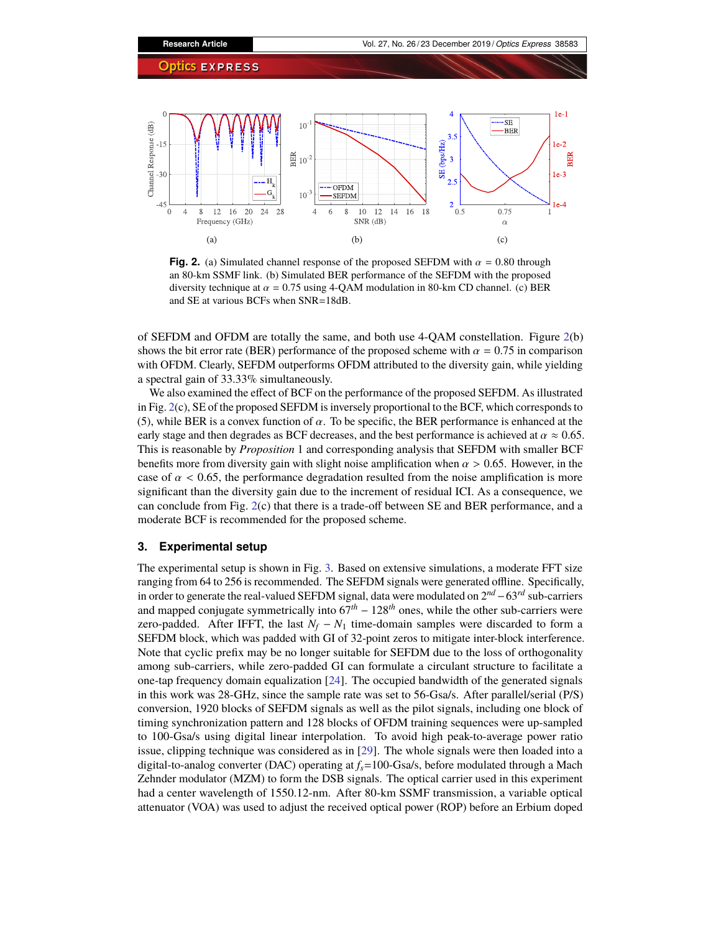

<span id="page-4-0"></span>**Fig. 2.** (a) Simulated channel response of the proposed SEFDM with  $\alpha = 0.80$  through an 80-km SSMF link. (b) Simulated BER performance of the SEFDM with the proposed diversity technique at  $\alpha = 0.75$  using 4-QAM modulation in 80-km CD channel. (c) BER and SE at various BCFs when SNR=18dB.

of SEFDM and OFDM are totally the same, and both use 4-QAM constellation. Figure [2\(](#page-4-0)b) shows the bit error rate (BER) performance of the proposed scheme with  $\alpha = 0.75$  in comparison with OFDM. Clearly, SEFDM outperforms OFDM attributed to the diversity gain, while yielding a spectral gain of 33.33% simultaneously.

We also examined the effect of BCF on the performance of the proposed SEFDM. As illustrated in Fig. [2\(](#page-4-0)c), SE of the proposed SEFDM is inversely proportional to the BCF, which corresponds to (5), while BER is a convex function of  $\alpha$ . To be specific, the BER performance is enhanced at the early stage and then degrades as BCF decreases, and the best performance is achieved at  $\alpha \approx 0.65$ . This is reasonable by *Proposition* 1 and corresponding analysis that SEFDM with smaller BCF benefits more from diversity gain with slight noise amplification when  $\alpha > 0.65$ . However, in the case of  $\alpha$  < 0.65, the performance degradation resulted from the noise amplification is more significant than the diversity gain due to the increment of residual ICI. As a consequence, we can conclude from Fig. [2\(](#page-4-0)c) that there is a trade-off between SE and BER performance, and a moderate BCF is recommended for the proposed scheme.

# **3. Experimental setup**

The experimental setup is shown in Fig. [3.](#page-5-0) Based on extensive simulations, a moderate FFT size ranging from 64 to 256 is recommended. The SEFDM signals were generated offline. Specifically, in order to generate the real-valued SEFDM signal, data were modulated on 2*nd* −63*rd* sub-carriers and mapped conjugate symmetrically into 67*th* − 128*th* ones, while the other sub-carriers were zero-padded. After IFFT, the last  $N_f - N_1$  time-domain samples were discarded to form a SEFDM block, which was padded with GI of 32-point zeros to mitigate inter-block interference. Note that cyclic prefix may be no longer suitable for SEFDM due to the loss of orthogonality among sub-carriers, while zero-padded GI can formulate a circulant structure to facilitate a one-tap frequency domain equalization [\[24\]](#page-12-12). The occupied bandwidth of the generated signals in this work was 28-GHz, since the sample rate was set to 56-Gsa/s. After parallel/serial (P/S) conversion, 1920 blocks of SEFDM signals as well as the pilot signals, including one block of timing synchronization pattern and 128 blocks of OFDM training sequences were up-sampled to 100-Gsa/s using digital linear interpolation. To avoid high peak-to-average power ratio issue, clipping technique was considered as in [\[29\]](#page-13-0). The whole signals were then loaded into a digital-to-analog converter (DAC) operating at *fs*=100-Gsa/s, before modulated through a Mach Zehnder modulator (MZM) to form the DSB signals. The optical carrier used in this experiment had a center wavelength of 1550.12-nm. After 80-km SSMF transmission, a variable optical attenuator (VOA) was used to adjust the received optical power (ROP) before an Erbium doped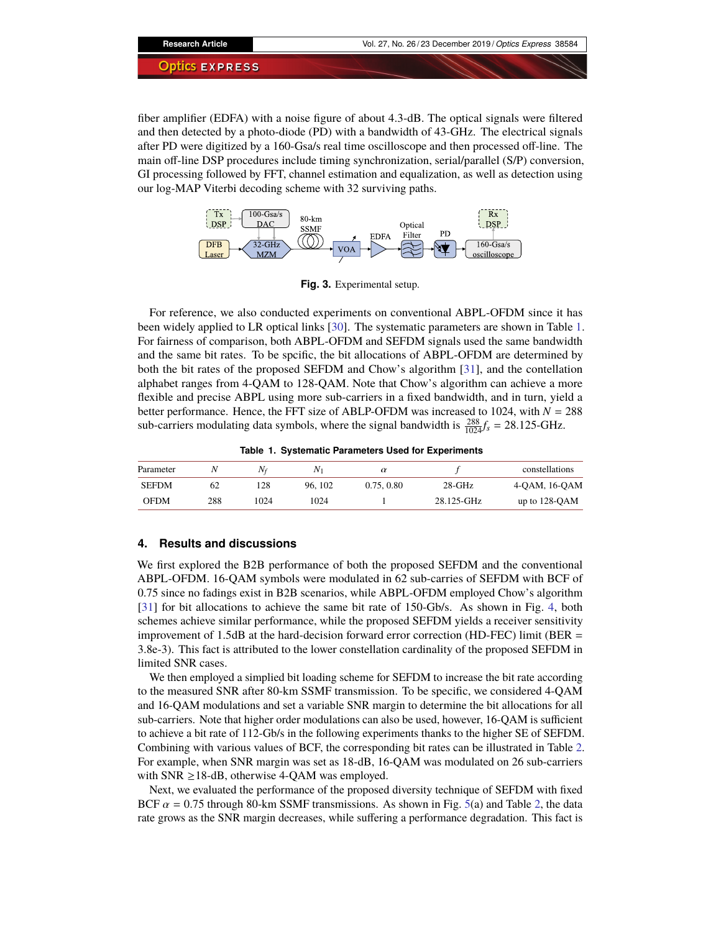fiber amplifier (EDFA) with a noise figure of about 4.3-dB. The optical signals were filtered and then detected by a photo-diode (PD) with a bandwidth of 43-GHz. The electrical signals after PD were digitized by a 160-Gsa/s real time oscilloscope and then processed off-line. The main off-line DSP procedures include timing synchronization, serial/parallel (S/P) conversion, GI processing followed by FFT, channel estimation and equalization, as well as detection using our log-MAP Viterbi decoding scheme with 32 surviving paths.



<span id="page-5-0"></span>**Fig. 3.** Experimental setup.

For reference, we also conducted experiments on conventional ABPL-OFDM since it has been widely applied to LR optical links [\[30\]](#page-13-1). The systematic parameters are shown in Table [1.](#page-5-1) For fairness of comparison, both ABPL-OFDM and SEFDM signals used the same bandwidth and the same bit rates. To be spcific, the bit allocations of ABPL-OFDM are determined by both the bit rates of the proposed SEFDM and Chow's algorithm [\[31\]](#page-13-2), and the contellation alphabet ranges from 4-QAM to 128-QAM. Note that Chow's algorithm can achieve a more flexible and precise ABPL using more sub-carriers in a fixed bandwidth, and in turn, yield a better performance. Hence, the FFT size of ABLP-OFDM was increased to 1024, with *N* = 288 sub-carriers modulating data symbols, where the signal bandwidth is  $\frac{288}{1024}f_s = 28.125 \text{-} \text{GHz}.$ 

<span id="page-5-1"></span>**Table 1. Systematic Parameters Used for Experiments**

| Parameter    |     | $N_f$ | $N_{1}$ | $\alpha$   |            | constellations     |
|--------------|-----|-------|---------|------------|------------|--------------------|
| <b>SEFDM</b> | 62  | 28    | 96.102  | 0.75, 0.80 | $28-GHz$   | $4-QAM$ , $16-QAM$ |
| <b>OFDM</b>  | 288 | 1024  | 1024    |            | 28.125-GHz | up to $128-QAM$    |

# **4. Results and discussions**

We first explored the B2B performance of both the proposed SEFDM and the conventional ABPL-OFDM. 16-QAM symbols were modulated in 62 sub-carries of SEFDM with BCF of 0.75 since no fadings exist in B2B scenarios, while ABPL-OFDM employed Chow's algorithm [\[31\]](#page-13-2) for bit allocations to achieve the same bit rate of 150-Gb/s. As shown in Fig. [4,](#page-6-0) both schemes achieve similar performance, while the proposed SEFDM yields a receiver sensitivity improvement of 1.5dB at the hard-decision forward error correction (HD-FEC) limit (BER = 3.8e-3). This fact is attributed to the lower constellation cardinality of the proposed SEFDM in limited SNR cases.

We then employed a simplied bit loading scheme for SEFDM to increase the bit rate according to the measured SNR after 80-km SSMF transmission. To be specific, we considered 4-QAM and 16-QAM modulations and set a variable SNR margin to determine the bit allocations for all sub-carriers. Note that higher order modulations can also be used, however, 16-QAM is sufficient to achieve a bit rate of 112-Gb/s in the following experiments thanks to the higher SE of SEFDM. Combining with various values of BCF, the corresponding bit rates can be illustrated in Table [2.](#page-6-1) For example, when SNR margin was set as 18-dB, 16-QAM was modulated on 26 sub-carriers with SNR  $\geq$ 18-dB, otherwise 4-QAM was employed.

Next, we evaluated the performance of the proposed diversity technique of SEFDM with fixed BCF  $\alpha$  = 0.75 through 80-km SSMF transmissions. As shown in Fig. [5\(](#page-6-2)a) and Table [2,](#page-6-1) the data rate grows as the SNR margin decreases, while suffering a performance degradation. This fact is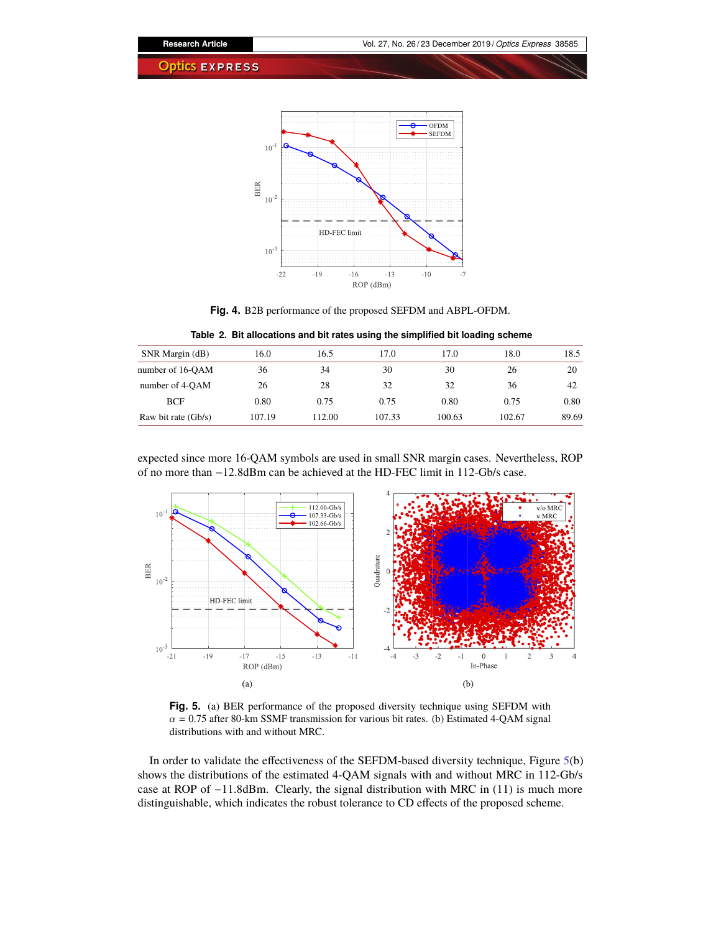

<span id="page-6-1"></span><span id="page-6-0"></span>**Fig. 4.** B2B performance of the proposed SEFDM and ABPL-OFDM.

**Table 2. Bit allocations and bit rates using the simplified bit loading scheme**

| SNR Margin (dB)       | 16.0   | 16.5   | 17.0   | 17.0   | 18.0   | 18.5  |
|-----------------------|--------|--------|--------|--------|--------|-------|
| number of 16-OAM      | 36     | 34     | 30     | 30     | 26     | 20    |
| number of 4-OAM       | 26     | 28     | 32     | 32     | 36     | 42    |
| <b>BCF</b>            | 0.80   | 0.75   | 0.75   | 0.80   | 0.75   | 0.80  |
| Raw bit rate $(Gb/s)$ | 107.19 | 112.00 | 107.33 | 100.63 | 102.67 | 89.69 |

expected since more 16-QAM symbols are used in small SNR margin cases. Nevertheless, ROP of no more than −12.8dBm can be achieved at the HD-FEC limit in 112-Gb/s case.



<span id="page-6-2"></span>**Fig. 5.** (a) BER performance of the proposed diversity technique using SEFDM with  $\alpha$  = 0.75 after 80-km SSMF transmission for various bit rates. (b) Estimated 4-QAM signal distributions with and without MRC.

In order to validate the effectiveness of the SEFDM-based diversity technique, Figure [5\(](#page-6-2)b) shows the distributions of the estimated 4-QAM signals with and without MRC in 112-Gb/s case at ROP of −11.8dBm. Clearly, the signal distribution with MRC in (11) is much more distinguishable, which indicates the robust tolerance to CD effects of the proposed scheme.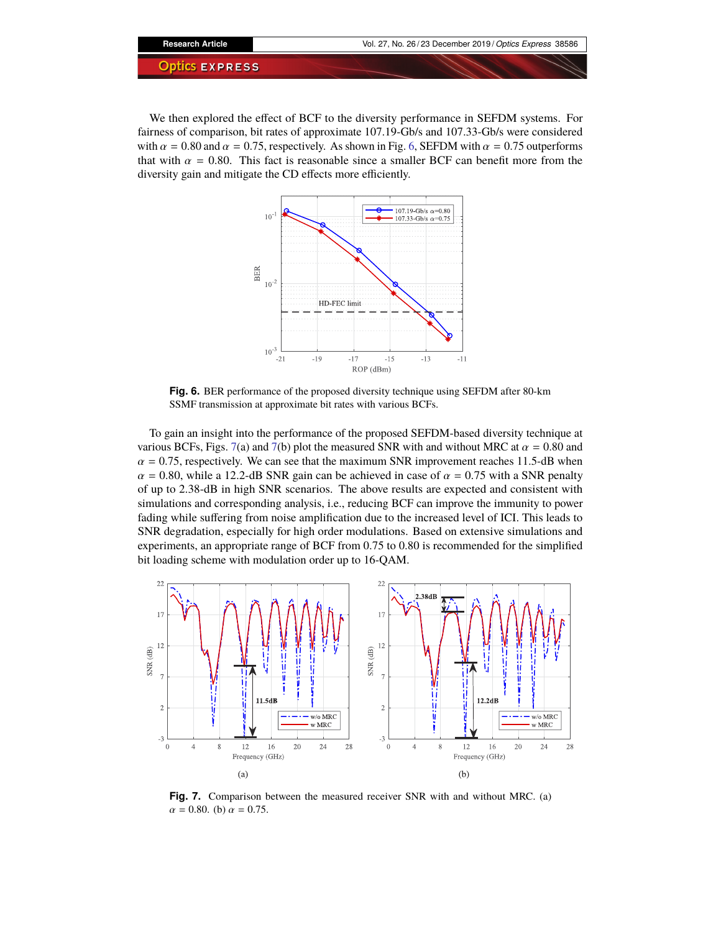We then explored the effect of BCF to the diversity performance in SEFDM systems. For fairness of comparison, bit rates of approximate 107.19-Gb/s and 107.33-Gb/s were considered with  $\alpha = 0.80$  and  $\alpha = 0.75$ , respectively. As shown in Fig. [6,](#page-7-0) SEFDM with  $\alpha = 0.75$  outperforms that with  $\alpha = 0.80$ . This fact is reasonable since a smaller BCF can benefit more from the diversity gain and mitigate the CD effects more efficiently.



<span id="page-7-0"></span>**Fig. 6.** BER performance of the proposed diversity technique using SEFDM after 80-km SSMF transmission at approximate bit rates with various BCFs.

To gain an insight into the performance of the proposed SEFDM-based diversity technique at various BCFs, Figs. [7\(](#page-7-1)a) and 7(b) plot the measured SNR with and without MRC at  $\alpha = 0.80$  and  $\alpha$  = 0.75, respectively. We can see that the maximum SNR improvement reaches 11.5-dB when  $\alpha$  = 0.80, while a 12.2-dB SNR gain can be achieved in case of  $\alpha$  = 0.75 with a SNR penalty of up to 2.38-dB in high SNR scenarios. The above results are expected and consistent with simulations and corresponding analysis, i.e., reducing BCF can improve the immunity to power fading while suffering from noise amplification due to the increased level of ICI. This leads to SNR degradation, especially for high order modulations. Based on extensive simulations and experiments, an appropriate range of BCF from 0.75 to 0.80 is recommended for the simplified bit loading scheme with modulation order up to 16-QAM.



<span id="page-7-1"></span>**Fig. 7.** Comparison between the measured receiver SNR with and without MRC. (a)  $\alpha = 0.80$ . (b)  $\alpha = 0.75$ .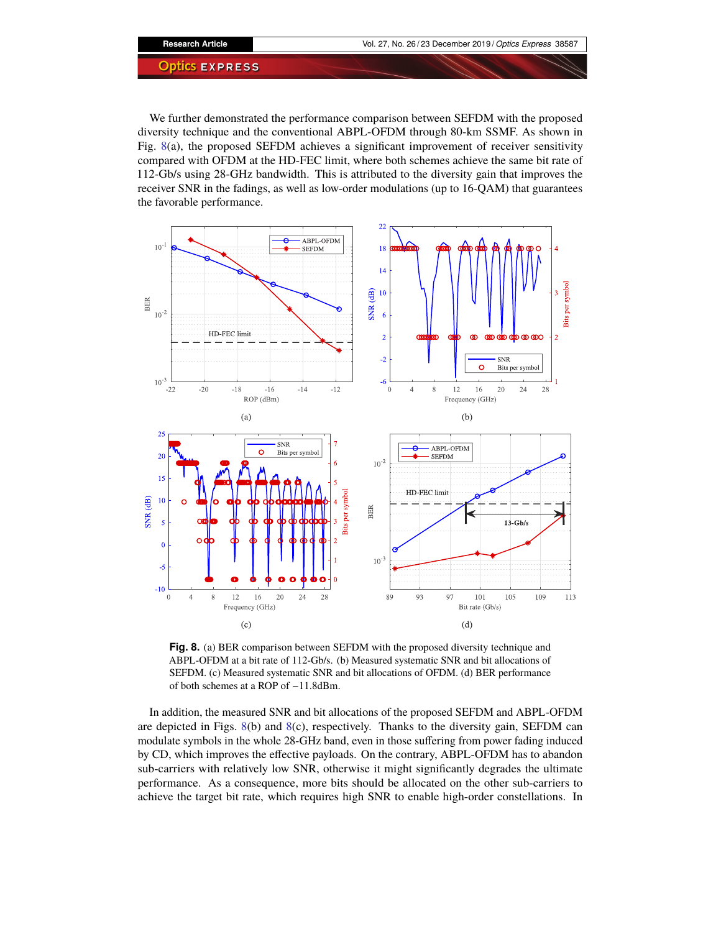We further demonstrated the performance comparison between SEFDM with the proposed diversity technique and the conventional ABPL-OFDM through 80-km SSMF. As shown in Fig. [8\(](#page-8-0)a), the proposed SEFDM achieves a significant improvement of receiver sensitivity compared with OFDM at the HD-FEC limit, where both schemes achieve the same bit rate of 112-Gb/s using 28-GHz bandwidth. This is attributed to the diversity gain that improves the receiver SNR in the fadings, as well as low-order modulations (up to 16-QAM) that guarantees the favorable performance.



<span id="page-8-0"></span>**Fig. 8.** (a) BER comparison between SEFDM with the proposed diversity technique and ABPL-OFDM at a bit rate of 112-Gb/s. (b) Measured systematic SNR and bit allocations of SEFDM. (c) Measured systematic SNR and bit allocations of OFDM. (d) BER performance of both schemes at a ROP of −11.8dBm.

In addition, the measured SNR and bit allocations of the proposed SEFDM and ABPL-OFDM are depicted in Figs.  $8(b)$  $8(b)$  and  $8(c)$ , respectively. Thanks to the diversity gain, SEFDM can modulate symbols in the whole 28-GHz band, even in those suffering from power fading induced by CD, which improves the effective payloads. On the contrary, ABPL-OFDM has to abandon sub-carriers with relatively low SNR, otherwise it might significantly degrades the ultimate performance. As a consequence, more bits should be allocated on the other sub-carriers to achieve the target bit rate, which requires high SNR to enable high-order constellations. In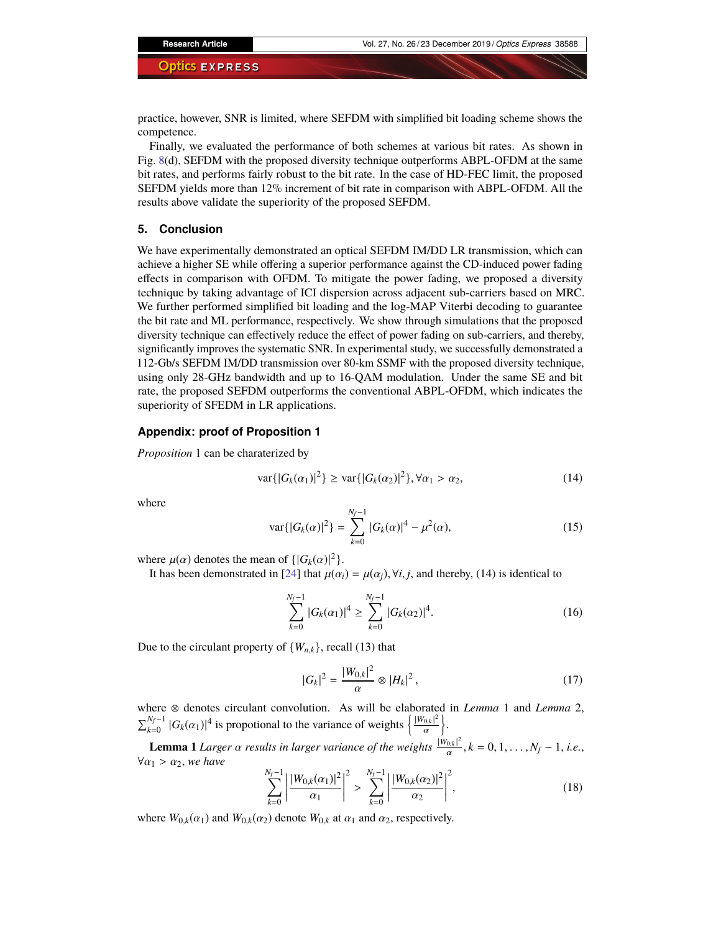practice, however, SNR is limited, where SEFDM with simplified bit loading scheme shows the competence.

Finally, we evaluated the performance of both schemes at various bit rates. As shown in Fig. [8\(](#page-8-0)d), SEFDM with the proposed diversity technique outperforms ABPL-OFDM at the same bit rates, and performs fairly robust to the bit rate. In the case of HD-FEC limit, the proposed SEFDM yields more than 12% increment of bit rate in comparison with ABPL-OFDM. All the results above validate the superiority of the proposed SEFDM.

#### **5. Conclusion**

We have experimentally demonstrated an optical SEFDM IM/DD LR transmission, which can achieve a higher SE while offering a superior performance against the CD-induced power fading effects in comparison with OFDM. To mitigate the power fading, we proposed a diversity technique by taking advantage of ICI dispersion across adjacent sub-carriers based on MRC. We further performed simplified bit loading and the log-MAP Viterbi decoding to guarantee the bit rate and ML performance, respectively. We show through simulations that the proposed diversity technique can effectively reduce the effect of power fading on sub-carriers, and thereby, significantly improves the systematic SNR. In experimental study, we successfully demonstrated a 112-Gb/s SEFDM IM/DD transmission over 80-km SSMF with the proposed diversity technique, using only 28-GHz bandwidth and up to 16-QAM modulation. Under the same SE and bit rate, the proposed SEFDM outperforms the conventional ABPL-OFDM, which indicates the superiority of SFEDM in LR applications.

# **Appendix: proof of Proposition 1**

*Proposition* 1 can be charaterized by

$$
\text{var}\{|G_k(\alpha_1)|^2\} \ge \text{var}\{|G_k(\alpha_2)|^2\}, \forall \alpha_1 > \alpha_2,\tag{14}
$$

where

$$
\text{var}\{|G_k(\alpha)|^2\} = \sum_{k=0}^{N_f-1} |G_k(\alpha)|^4 - \mu^2(\alpha),\tag{15}
$$

where  $\mu(\alpha)$  denotes the mean of  $\{ |G_k(\alpha)|^2 \}$ .<br>It has been demonstrated in [24] that  $\mu(\alpha)$ 

It has been demonstrated in [\[24\]](#page-12-12) that  $\mu(\alpha_i) = \mu(\alpha_i)$ ,  $\forall i, j$ , and thereby, (14) is identical to

$$
\sum_{k=0}^{N_f-1} |G_k(\alpha_1)|^4 \ge \sum_{k=0}^{N_f-1} |G_k(\alpha_2)|^4.
$$
 (16)

Due to the circulant property of  $\{W_{n,k}\}\$ , recall (13) that

$$
|G_k|^2 = \frac{|W_{0,k}|^2}{\alpha} \otimes |H_k|^2, \qquad (17)
$$

where ⊗ denotes circulant convolution. As will be elaborated in *Lemma* 1 and *Lemma* 2,  $\sum_{k=0}^{N_f-1} |G_k(\alpha_1)|^4$  is propotional to the variance of weights  $\left\{\frac{|W_{0,k}|^2}{\alpha}\right\}$ .

**Lemma 1** *Larger*  $\alpha$  *results in larger variance of the weights*  $\frac{|W_{0,k}|^2}{\alpha}$  $\frac{0,k}{\alpha}$ ,  $k = 0, 1, \ldots, N_f - 1$ , *i.e.*,  $\forall \alpha_1 > \alpha_2$ , we have

$$
\sum_{k=0}^{N_f-1} \left| \frac{|W_{0,k}(\alpha_1)|^2}{\alpha_1} \right|^2 > \sum_{k=0}^{N_f-1} \left| \frac{|W_{0,k}(\alpha_2)|^2}{\alpha_2} \right|^2,
$$
\n(18)

where  $W_{0,k}(\alpha_1)$  and  $W_{0,k}(\alpha_2)$  denote  $W_{0,k}$  at  $\alpha_1$  and  $\alpha_2$ , respectively.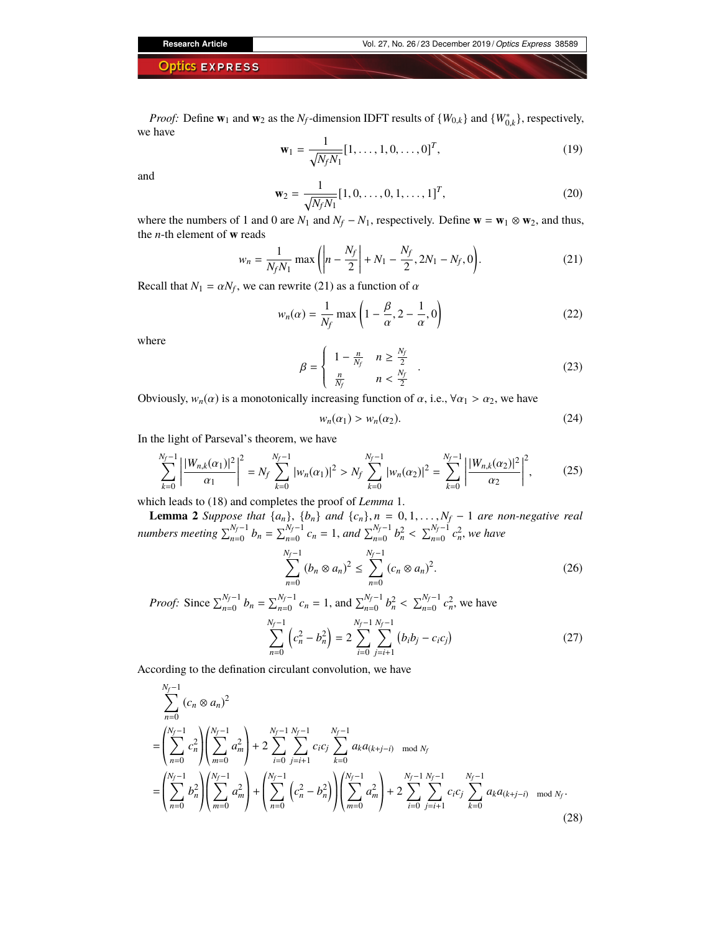*Proof:* Define **w**<sub>1</sub> and **w**<sub>2</sub> as the *N<sub>f</sub>*-dimension IDFT results of {*W*<sub>0,*k*</sub>} and {*W*<sup>\*</sup><sub>0,*k*</sub>}, respectively, we have

$$
\mathbf{w}_1 = \frac{1}{\sqrt{N_f N_1}} [1, \dots, 1, 0, \dots, 0]^T,
$$
\n(19)

and

$$
\mathbf{w}_2 = \frac{1}{\sqrt{N_f N_1}} [1, 0, \dots, 0, 1, \dots, 1]^T,
$$
\n(20)

where the numbers of 1 and 0 are  $N_1$  and  $N_f - N_1$ , respectively. Define  $\mathbf{w} = \mathbf{w}_1 \otimes \mathbf{w}_2$ , and thus, the *n*-th element of **w** reads

$$
w_n = \frac{1}{N_f N_1} \max \left( \left| n - \frac{N_f}{2} \right| + N_1 - \frac{N_f}{2}, 2N_1 - N_f, 0 \right). \tag{21}
$$

Recall that  $N_1 = \alpha N_f$ , we can rewrite (21) as a function of  $\alpha$ 

$$
w_n(\alpha) = \frac{1}{N_f} \max\left(1 - \frac{\beta}{\alpha}, 2 - \frac{1}{\alpha}, 0\right)
$$
 (22)

where

$$
\beta = \begin{cases}\n1 - \frac{n}{N_f} & n \ge \frac{N_f}{2} \\
\frac{n}{N_f} & n < \frac{N_f}{2}\n\end{cases}.
$$
\n(23)

Obviously,  $w_n(\alpha)$  is a monotonically increasing function of  $\alpha$ , i.e.,  $\forall \alpha_1 > \alpha_2$ , we have

$$
w_n(\alpha_1) > w_n(\alpha_2). \tag{24}
$$

In the light of Parseval's theorem, we have

$$
\sum_{k=0}^{N_f-1} \left| \frac{|W_{n,k}(\alpha_1)|^2}{\alpha_1} \right|^2 = N_f \sum_{k=0}^{N_f-1} |w_n(\alpha_1)|^2 > N_f \sum_{k=0}^{N_f-1} |w_n(\alpha_2)|^2 = \sum_{k=0}^{N_f-1} \left| \frac{|W_{n,k}(\alpha_2)|^2}{\alpha_2} \right|^2,
$$
 (25)

which leads to (18) and completes the proof of *Lemma* 1.

**Lemma 2** Suppose that  $\{a_n\}$ ,  $\{b_n\}$  and  $\{c_n\}$ ,  $n = 0, 1, ..., N_f - 1$  are non-negative real numbers meeting  $\sum_{n=0}^{N_f-1} b_n = \sum_{n=0}^{N_f-1} c_n = 1$ , and  $\sum_{n=0}^{N_f-1} b_n^2 < \sum_{n=0}^{N_f-1} c_n^2$ , we have

$$
\sum_{n=0}^{N_f-1} (b_n \otimes a_n)^2 \le \sum_{n=0}^{N_f-1} (c_n \otimes a_n)^2.
$$
 (26)

*Proof:* Since  $\sum_{n=0}^{N_f-1} b_n = \sum_{n=0}^{N_f-1} c_n = 1$ , and  $\sum_{n=0}^{N_f-1} b_n^2 < \sum_{n=0}^{N_f-1} c_n^2$ , we have

$$
\sum_{n=0}^{N_f-1} \left( c_n^2 - b_n^2 \right) = 2 \sum_{i=0}^{N_f-1} \sum_{j=i+1}^{N_f-1} \left( b_i b_j - c_i c_j \right) \tag{27}
$$

According to the defination circulant convolution, we have

$$
\sum_{n=0}^{N_f-1} (c_n \otimes a_n)^2
$$
\n
$$
= \left(\sum_{n=0}^{N_f-1} c_n^2 \right) \left(\sum_{m=0}^{N_f-1} a_m^2 \right) + 2 \sum_{i=0}^{N_f-1} \sum_{j=i+1}^{N_f-1} c_i c_j \sum_{k=0}^{N_f-1} a_k a_{(k+j-i)} \mod N_f
$$
\n
$$
= \left(\sum_{n=0}^{N_f-1} b_n^2 \right) \left(\sum_{m=0}^{N_f-1} a_m^2 \right) + \left(\sum_{n=0}^{N_f-1} \left(c_n^2 - b_n^2 \right) \right) \left(\sum_{m=0}^{N_f-1} a_m^2 \right) + 2 \sum_{i=0}^{N_f-1} \sum_{j=i+1}^{N_f-1} c_i c_j \sum_{k=0}^{N_f-1} a_k a_{(k+j-i)} \mod N_f.
$$
\n(28)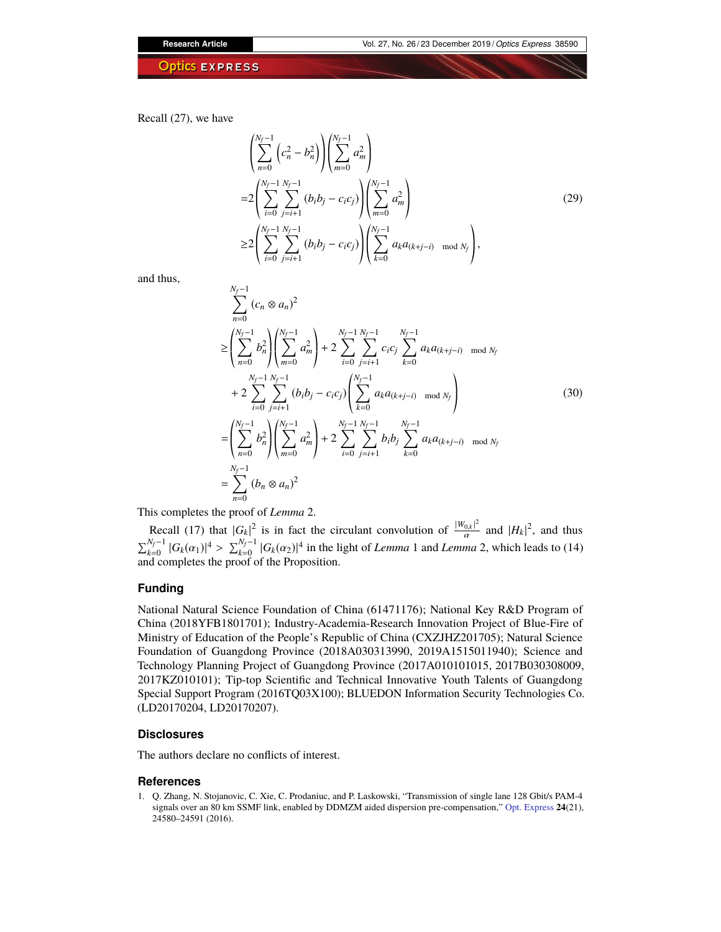Recall (27), we have

$$
\begin{aligned}\n&\left(\sum_{n=0}^{N_f-1} \left(c_n^2 - b_n^2\right)\right) \left(\sum_{m=0}^{N_f-1} a_m^2\right) \\
&= 2 \left(\sum_{i=0}^{N_f-1} \sum_{j=i+1}^{N_f-1} \left(b_i b_j - c_i c_j\right)\right) \left(\sum_{m=0}^{N_f-1} a_m^2\right) \\
&\ge 2 \left(\sum_{i=0}^{N_f-1} \sum_{j=i+1}^{N_f-1} \left(b_i b_j - c_i c_j\right)\right) \left(\sum_{k=0}^{N_f-1} a_k a_{(k+j-i)} \mod N_f\right),\n\end{aligned} \tag{29}
$$

and thus,

$$
\sum_{n=0}^{N_f-1} (c_n \otimes a_n)^2
$$
\n
$$
\geq \left( \sum_{n=0}^{N_f-1} b_n^2 \right) \left( \sum_{m=0}^{N_f-1} a_m^2 \right) + 2 \sum_{i=0}^{N_f-1} \sum_{j=i+1}^{N_f-1} c_i c_j \sum_{k=0}^{N_f-1} a_k a_{(k+j-i)} \mod N_f
$$
\n
$$
+ 2 \sum_{i=0}^{N_f-1} \sum_{j=i+1}^{N_f-1} (b_i b_j - c_i c_j) \left( \sum_{k=0}^{N_f-1} a_k a_{(k+j-i)} \mod N_f \right)
$$
\n
$$
= \left( \sum_{n=0}^{N_f-1} b_n^2 \right) \left( \sum_{m=0}^{N_f-1} a_m^2 \right) + 2 \sum_{i=0}^{N_f-1} \sum_{j=i+1}^{N_f-1} b_i b_j \sum_{k=0}^{N_f-1} a_k a_{(k+j-i)} \mod N_f
$$
\n
$$
= \sum_{n=0}^{N_f-1} (b_n \otimes a_n)^2
$$
\n(30)

This completes the proof of *Lemma* 2.

Recall (17) that  $|G_k|^2$  is in fact the circulant convolution of  $\frac{|W_{0,k}|^2}{\alpha}$  $rac{|0_k|^2}{\alpha}$  and  $|H_k|^2$ , and thus  $\sum_{k=0}^{N_f-1} |G_k(\alpha_1)|^4 > \sum_{k=0}^{N_f-1} |G_k(\alpha_2)|^4$  in the light of *Lemma* 1 and *Lemma* 2, which leads to (14) and completes the proof of the Proposition.

# **Funding**

National Natural Science Foundation of China (61471176); National Key R&D Program of China (2018YFB1801701); Industry-Academia-Research Innovation Project of Blue-Fire of Ministry of Education of the People's Republic of China (CXZJHZ201705); Natural Science Foundation of Guangdong Province (2018A030313990, 2019A1515011940); Science and Technology Planning Project of Guangdong Province (2017A010101015, 2017B030308009, 2017KZ010101); Tip-top Scientific and Technical Innovative Youth Talents of Guangdong Special Support Program (2016TQ03X100); BLUEDON Information Security Technologies Co. (LD20170204, LD20170207).

# **Disclosures**

The authors declare no conflicts of interest.

# **References**

<span id="page-11-0"></span>1. Q. Zhang, N. Stojanovic, C. Xie, C. Prodaniuc, and P. Laskowski, "Transmission of single lane 128 Gbit/s PAM-4 signals over an 80 km SSMF link, enabled by DDMZM aided dispersion pre-compensation," [Opt. Express](https://doi.org/10.1364/OE.24.024580) **24**(21), 24580–24591 (2016).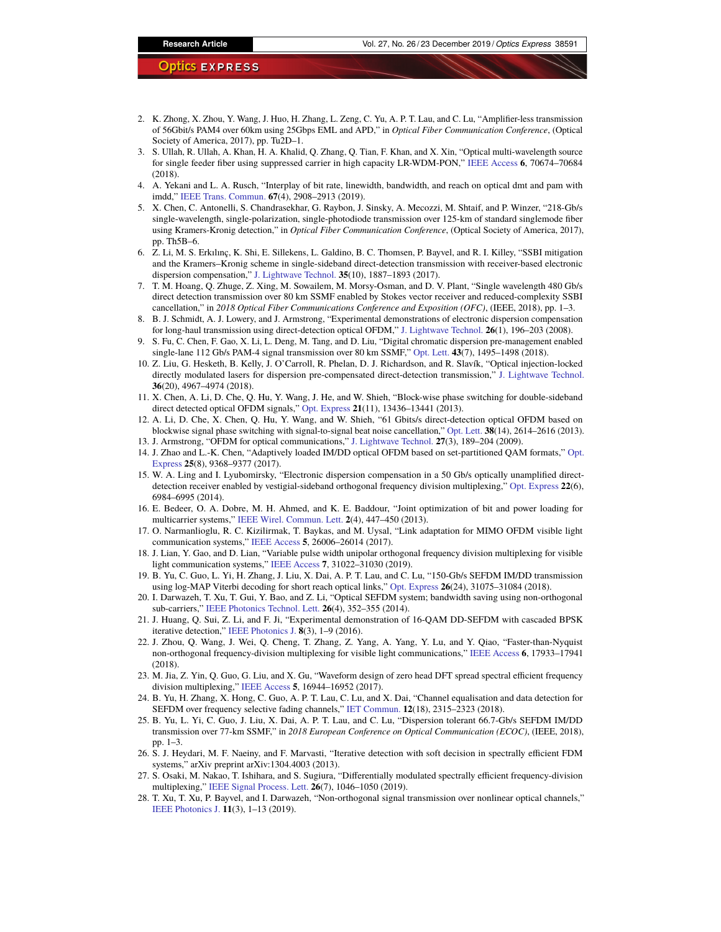- 2. K. Zhong, X. Zhou, Y. Wang, J. Huo, H. Zhang, L. Zeng, C. Yu, A. P. T. Lau, and C. Lu, "Amplifier-less transmission of 56Gbit/s PAM4 over 60km using 25Gbps EML and APD," in *Optical Fiber Communication Conference*, (Optical Society of America, 2017), pp. Tu2D–1.
- <span id="page-12-0"></span>3. S. Ullah, R. Ullah, A. Khan, H. A. Khalid, Q. Zhang, Q. Tian, F. Khan, and X. Xin, "Optical multi-wavelength source for single feeder fiber using suppressed carrier in high capacity LR-WDM-PON," [IEEE Access](https://doi.org/10.1109/ACCESS.2018.2880426) **6**, 70674–70684 (2018).
- <span id="page-12-1"></span>4. A. Yekani and L. A. Rusch, "Interplay of bit rate, linewidth, bandwidth, and reach on optical dmt and pam with imdd," [IEEE Trans. Commun.](https://doi.org/10.1109/TCOMM.2019.2892756) **67**(4), 2908–2913 (2019).
- <span id="page-12-2"></span>5. X. Chen, C. Antonelli, S. Chandrasekhar, G. Raybon, J. Sinsky, A. Mecozzi, M. Shtaif, and P. Winzer, "218-Gb/s single-wavelength, single-polarization, single-photodiode transmission over 125-km of standard singlemode fiber using Kramers-Kronig detection," in *Optical Fiber Communication Conference*, (Optical Society of America, 2017), pp. Th5B–6.
- 6. Z. Li, M. S. Erkılınç, K. Shi, E. Sillekens, L. Galdino, B. C. Thomsen, P. Bayvel, and R. I. Killey, "SSBI mitigation and the Kramers–Kronig scheme in single-sideband direct-detection transmission with receiver-based electronic dispersion compensation," [J. Lightwave Technol.](https://doi.org/10.1109/JLT.2017.2684298) **35**(10), 1887–1893 (2017).
- 7. T. M. Hoang, Q. Zhuge, Z. Xing, M. Sowailem, M. Morsy-Osman, and D. V. Plant, "Single wavelength 480 Gb/s direct detection transmission over 80 km SSMF enabled by Stokes vector receiver and reduced-complexity SSBI cancellation," in *2018 Optical Fiber Communications Conference and Exposition (OFC)*, (IEEE, 2018), pp. 1–3.
- 8. B. J. Schmidt, A. J. Lowery, and J. Armstrong, "Experimental demonstrations of electronic dispersion compensation for long-haul transmission using direct-detection optical OFDM," [J. Lightwave Technol.](https://doi.org/10.1109/JLT.2007.913017) **26**(1), 196–203 (2008).
- 9. S. Fu, C. Chen, F. Gao, X. Li, L. Deng, M. Tang, and D. Liu, "Digital chromatic dispersion pre-management enabled single-lane 112 Gb/s PAM-4 signal transmission over 80 km SSMF," [Opt. Lett.](https://doi.org/10.1364/OL.43.001495) **43**(7), 1495–1498 (2018).
- 10. Z. Liu, G. Hesketh, B. Kelly, J. O'Carroll, R. Phelan, D. J. Richardson, and R. Slavík, "Optical injection-locked directly modulated lasers for dispersion pre-compensated direct-detection transmission," [J. Lightwave Technol.](https://doi.org/10.1109/JLT.2018.2866832) **36**(20), 4967–4974 (2018).
- <span id="page-12-3"></span>11. X. Chen, A. Li, D. Che, Q. Hu, Y. Wang, J. He, and W. Shieh, "Block-wise phase switching for double-sideband direct detected optical OFDM signals," [Opt. Express](https://doi.org/10.1364/OE.21.013436) **21**(11), 13436–13441 (2013).
- <span id="page-12-4"></span>12. A. Li, D. Che, X. Chen, Q. Hu, Y. Wang, and W. Shieh, "61 Gbits/s direct-detection optical OFDM based on blockwise signal phase switching with signal-to-signal beat noise cancellation," [Opt. Lett.](https://doi.org/10.1364/OL.38.002614) **38**(14), 2614–2616 (2013). 13. J. Armstrong, "OFDM for optical communications," [J. Lightwave Technol.](https://doi.org/10.1109/JLT.2008.2010061) **27**(3), 189–204 (2009).
- <span id="page-12-6"></span><span id="page-12-5"></span>14. J. Zhao and L.-K. Chen, "Adaptively loaded IM/DD optical OFDM based on set-partitioned QAM formats," [Opt.](https://doi.org/10.1364/OE.25.009368) [Express](https://doi.org/10.1364/OE.25.009368) **25**(8), 9368–9377 (2017).
- <span id="page-12-7"></span>15. W. A. Ling and I. Lyubomirsky, "Electronic dispersion compensation in a 50 Gb/s optically unamplified directdetection receiver enabled by vestigial-sideband orthogonal frequency division multiplexing," [Opt. Express](https://doi.org/10.1364/OE.22.006984) **22**(6), 6984–6995 (2014).
- <span id="page-12-8"></span>16. E. Bedeer, O. A. Dobre, M. H. Ahmed, and K. E. Baddour, "Joint optimization of bit and power loading for multicarrier systems," [IEEE Wirel. Commun. Lett.](https://doi.org/10.1109/WCL.2013.052813.130085) **2**(4), 447–450 (2013).
- 17. O. Narmanlioglu, R. C. Kizilirmak, T. Baykas, and M. Uysal, "Link adaptation for MIMO OFDM visible light communication systems," [IEEE Access](https://doi.org/10.1109/ACCESS.2017.2771333) **5**, 26006–26014 (2017).
- <span id="page-12-9"></span>18. J. Lian, Y. Gao, and D. Lian, "Variable pulse width unipolar orthogonal frequency division multiplexing for visible light communication systems," [IEEE Access](https://doi.org/10.1109/ACCESS.2019.2902891) **7**, 31022–31030 (2019).
- <span id="page-12-10"></span>19. B. Yu, C. Guo, L. Yi, H. Zhang, J. Liu, X. Dai, A. P. T. Lau, and C. Lu, "150-Gb/s SEFDM IM/DD transmission using log-MAP Viterbi decoding for short reach optical links," [Opt. Express](https://doi.org/10.1364/OE.26.031075) **26**(24), 31075–31084 (2018).
- 20. I. Darwazeh, T. Xu, T. Gui, Y. Bao, and Z. Li, "Optical SEFDM system; bandwidth saving using non-orthogonal sub-carriers," [IEEE Photonics Technol. Lett.](https://doi.org/10.1109/LPT.2013.2293874) **26**(4), 352–355 (2014).
- 21. J. Huang, Q. Sui, Z. Li, and F. Ji, "Experimental demonstration of 16-QAM DD-SEFDM with cascaded BPSK iterative detection," [IEEE Photonics J.](https://doi.org/10.1109/JPHOT.2016.2552480) **8**(3), 1–9 (2016).
- 22. J. Zhou, Q. Wang, J. Wei, Q. Cheng, T. Zhang, Z. Yang, A. Yang, Y. Lu, and Y. Qiao, "Faster-than-Nyquist non-orthogonal frequency-division multiplexing for visible light communications," [IEEE Access](https://doi.org/10.1109/ACCESS.2018.2820100) **6**, 17933–17941 (2018).
- <span id="page-12-11"></span>23. M. Jia, Z. Yin, Q. Guo, G. Liu, and X. Gu, "Waveform design of zero head DFT spread spectral efficient frequency division multiplexing," [IEEE Access](https://doi.org/10.1109/ACCESS.2017.2740267) **5**, 16944–16952 (2017).
- <span id="page-12-12"></span>24. B. Yu, H. Zhang, X. Hong, C. Guo, A. P. T. Lau, C. Lu, and X. Dai, "Channel equalisation and data detection for SEFDM over frequency selective fading channels," [IET Commun.](https://doi.org/10.1049/iet-com.2018.5114) **12**(18), 2315–2323 (2018).
- <span id="page-12-13"></span>25. B. Yu, L. Yi, C. Guo, J. Liu, X. Dai, A. P. T. Lau, and C. Lu, "Dispersion tolerant 66.7-Gb/s SEFDM IM/DD transmission over 77-km SSMF," in *2018 European Conference on Optical Communication (ECOC)*, (IEEE, 2018), pp. 1–3.
- <span id="page-12-14"></span>26. S. J. Heydari, M. F. Naeiny, and F. Marvasti, "Iterative detection with soft decision in spectrally efficient FDM systems," arXiv preprint arXiv:1304.4003 (2013).
- <span id="page-12-15"></span>27. S. Osaki, M. Nakao, T. Ishihara, and S. Sugiura, "Differentially modulated spectrally efficient frequency-division multiplexing," [IEEE Signal Process. Lett.](https://doi.org/10.1109/LSP.2019.2918688) **26**(7), 1046–1050 (2019).
- <span id="page-12-16"></span>28. T. Xu, T. Xu, P. Bayvel, and I. Darwazeh, "Non-orthogonal signal transmission over nonlinear optical channels," [IEEE Photonics J.](https://doi.org/10.1109/JPHOT.2019.2904960) **11**(3), 1–13 (2019).